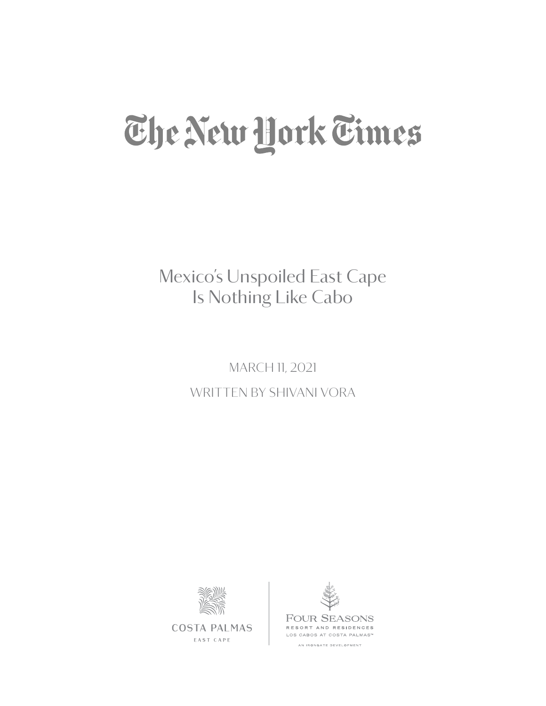## The New Hork Times

Mexico's Unspoiled East Cape Is Nothing Like Cabo

> MARCH 11, 2021 WRITTEN BY SHIVANI VORA



**COSTA PALMAS** EAST CAPE

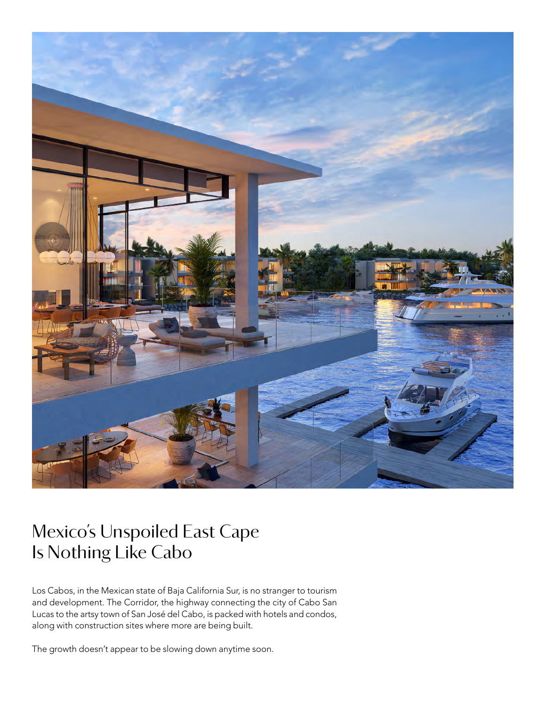

## Mexico's Unspoiled East Cape Is Nothing Like Cabo

Los Cabos, in the Mexican state of Baja California Sur, is no stranger to tourism and development. The Corridor, the highway connecting the city of Cabo San Lucas to the artsy town of San José del Cabo, is packed with hotels and condos, along with construction sites where more are being built.

The growth doesn't appear to be slowing down anytime soon.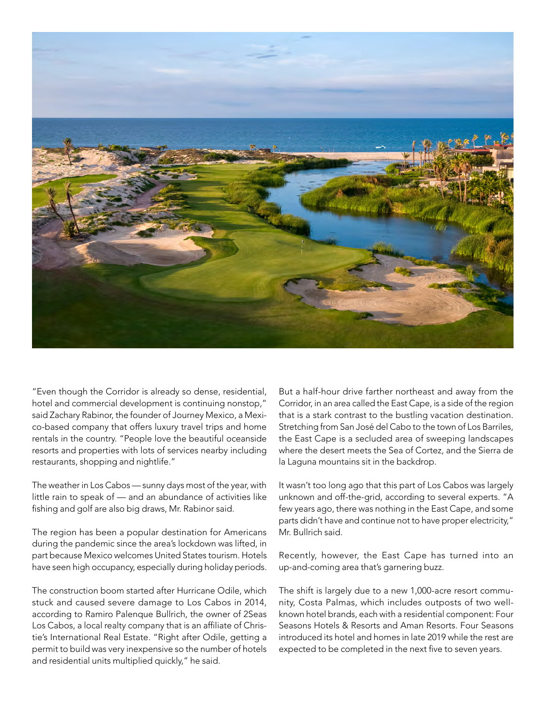

"Even though the Corridor is already so dense, residential, hotel and commercial development is continuing nonstop," said Zachary Rabinor, the founder of Journey Mexico, a Mexico-based company that offers luxury travel trips and home rentals in the country. "People love the beautiful oceanside resorts and properties with lots of services nearby including restaurants, shopping and nightlife."

The weather in Los Cabos — sunny days most of the year, with little rain to speak of — and an abundance of activities like fishing and golf are also big draws, Mr. Rabinor said.

The region has been a popular destination for Americans during the pandemic since the area's lockdown was lifted, in part because Mexico welcomes United States tourism. Hotels have seen high occupancy, especially during holiday periods.

The construction boom started after Hurricane Odile, which stuck and caused severe damage to Los Cabos in 2014, according to Ramiro Palenque Bullrich, the owner of 2Seas Los Cabos, a local realty company that is an affiliate of Christie's International Real Estate. "Right after Odile, getting a permit to build was very inexpensive so the number of hotels and residential units multiplied quickly," he said.

But a half-hour drive farther northeast and away from the Corridor, in an area called the East Cape, is a side of the region that is a stark contrast to the bustling vacation destination. Stretching from San José del Cabo to the town of Los Barriles, the East Cape is a secluded area of sweeping landscapes where the desert meets the Sea of Cortez, and the Sierra de la Laguna mountains sit in the backdrop.

It wasn't too long ago that this part of Los Cabos was largely unknown and off-the-grid, according to several experts. "A few years ago, there was nothing in the East Cape, and some parts didn't have and continue not to have proper electricity," Mr. Bullrich said.

Recently, however, the East Cape has turned into an up-and-coming area that's garnering buzz.

The shift is largely due to a new 1,000-acre resort community, Costa Palmas, which includes outposts of two wellknown hotel brands, each with a residential component: Four Seasons Hotels & Resorts and Aman Resorts. Four Seasons introduced its hotel and homes in late 2019 while the rest are expected to be completed in the next five to seven years.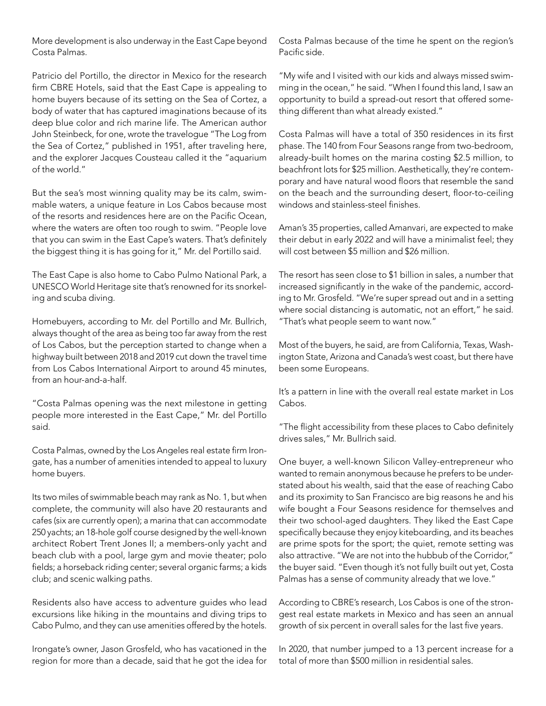More development is also underway in the East Cape beyond Costa Palmas.

Patricio del Portillo, the director in Mexico for the research firm CBRE Hotels, said that the East Cape is appealing to home buyers because of its setting on the Sea of Cortez, a body of water that has captured imaginations because of its deep blue color and rich marine life. The American author John Steinbeck, for one, wrote the travelogue "The Log from the Sea of Cortez," published in 1951, after traveling here, and the explorer Jacques Cousteau called it the "aquarium of the world."

But the sea's most winning quality may be its calm, swimmable waters, a unique feature in Los Cabos because most of the resorts and residences here are on the Pacific Ocean, where the waters are often too rough to swim. "People love that you can swim in the East Cape's waters. That's definitely the biggest thing it is has going for it," Mr. del Portillo said.

The East Cape is also home to Cabo Pulmo National Park, a UNESCO World Heritage site that's renowned for its snorkeling and scuba diving.

Homebuyers, according to Mr. del Portillo and Mr. Bullrich, always thought of the area as being too far away from the rest of Los Cabos, but the perception started to change when a highway built between 2018 and 2019 cut down the travel time from Los Cabos International Airport to around 45 minutes, from an hour-and-a-half.

"Costa Palmas opening was the next milestone in getting people more interested in the East Cape," Mr. del Portillo said.

Costa Palmas, owned by the Los Angeles real estate firm Irongate, has a number of amenities intended to appeal to luxury home buyers.

Its two miles of swimmable beach may rank as No. 1, but when complete, the community will also have 20 restaurants and cafes (six are currently open); a marina that can accommodate 250 yachts; an 18-hole golf course designed by the well-known architect Robert Trent Jones II; a members-only yacht and beach club with a pool, large gym and movie theater; polo fields; a horseback riding center; several organic farms; a kids club; and scenic walking paths.

Residents also have access to adventure guides who lead excursions like hiking in the mountains and diving trips to Cabo Pulmo, and they can use amenities offered by the hotels.

Irongate's owner, Jason Grosfeld, who has vacationed in the region for more than a decade, said that he got the idea for Costa Palmas because of the time he spent on the region's Pacific side.

"My wife and I visited with our kids and always missed swimming in the ocean," he said. "When I found this land, I saw an opportunity to build a spread-out resort that offered something different than what already existed."

Costa Palmas will have a total of 350 residences in its first phase. The 140 from Four Seasons range from two-bedroom, already-built homes on the marina costing \$2.5 million, to beachfront lots for \$25 million. Aesthetically, they're contemporary and have natural wood floors that resemble the sand on the beach and the surrounding desert, floor-to-ceiling windows and stainless-steel finishes.

Aman's 35 properties, called Amanvari, are expected to make their debut in early 2022 and will have a minimalist feel; they will cost between \$5 million and \$26 million.

The resort has seen close to \$1 billion in sales, a number that increased significantly in the wake of the pandemic, according to Mr. Grosfeld. "We're super spread out and in a setting where social distancing is automatic, not an effort," he said. "That's what people seem to want now."

Most of the buyers, he said, are from California, Texas, Washington State, Arizona and Canada's west coast, but there have been some Europeans.

It's a pattern in line with the overall real estate market in Los Cabos.

"The flight accessibility from these places to Cabo definitely drives sales," Mr. Bullrich said.

One buyer, a well-known Silicon Valley-entrepreneur who wanted to remain anonymous because he prefers to be understated about his wealth, said that the ease of reaching Cabo and its proximity to San Francisco are big reasons he and his wife bought a Four Seasons residence for themselves and their two school-aged daughters. They liked the East Cape specifically because they enjoy kiteboarding, and its beaches are prime spots for the sport; the quiet, remote setting was also attractive. "We are not into the hubbub of the Corridor," the buyer said. "Even though it's not fully built out yet, Costa Palmas has a sense of community already that we love."

According to CBRE's research, Los Cabos is one of the strongest real estate markets in Mexico and has seen an annual growth of six percent in overall sales for the last five years.

In 2020, that number jumped to a 13 percent increase for a total of more than \$500 million in residential sales.